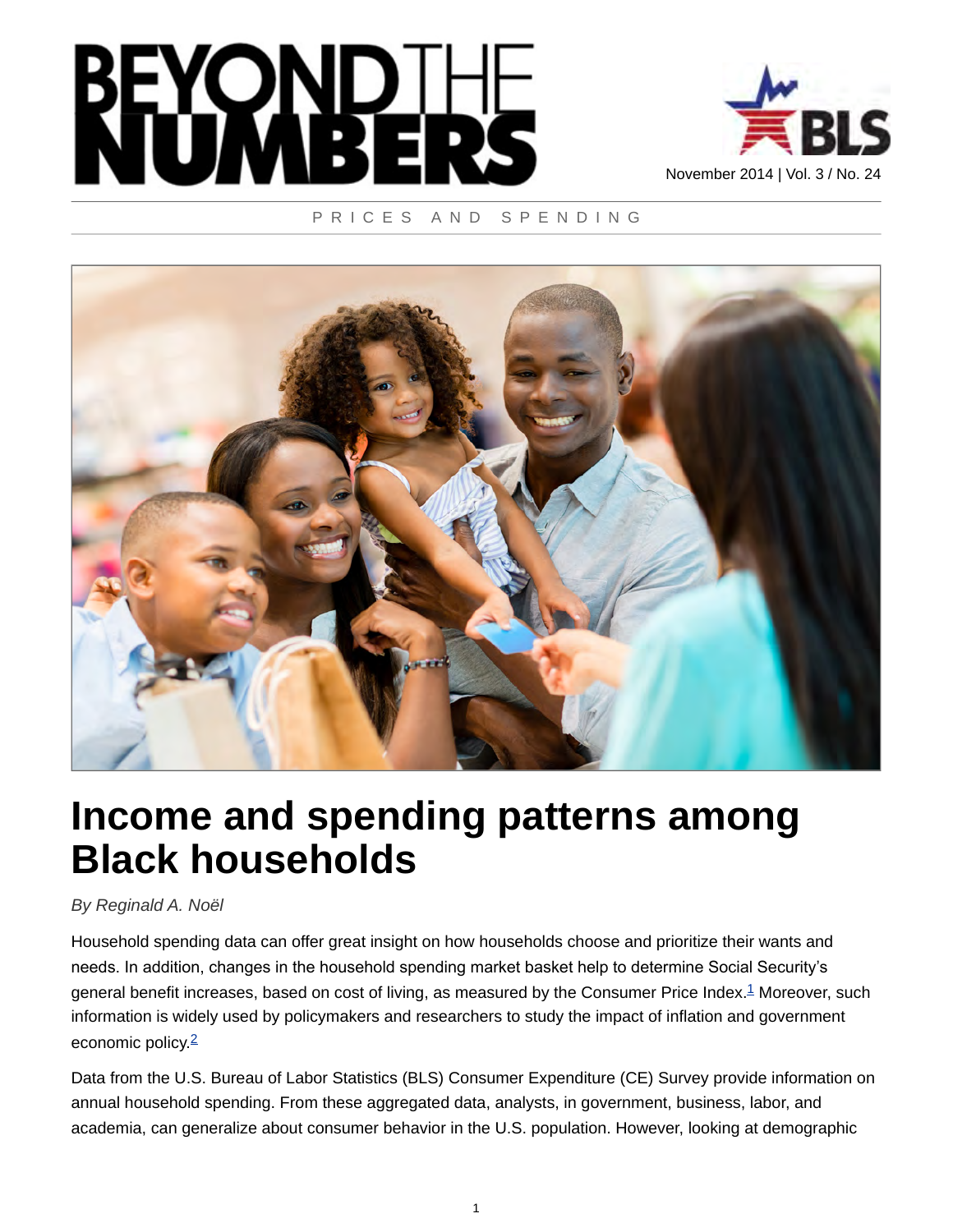



#### PRICES AND SPENDING



# **Income and spending patterns among Black households**

#### *By Reginald A. Noël*

<span id="page-0-0"></span>Household spending data can offer great insight on how households choose and prioritize their wants and needs. In addition, changes in the household spending market basket help to determine Social Security's general benefit increases, based on cost of living, as measured by the Consumer Price Index.<sup>[1](#page-7-0)</sup> Moreover, such information is widely used by policymakers and researchers to study the impact of inflation and government economic policy  $\frac{2}{3}$  $\frac{2}{3}$  $\frac{2}{3}$ 

<span id="page-0-1"></span>Data from the U.S. Bureau of Labor Statistics (BLS) Consumer Expenditure (CE) Survey provide information on annual household spending. From these aggregated data, analysts, in government, business, labor, and academia, can generalize about consumer behavior in the U.S. population. However, looking at demographic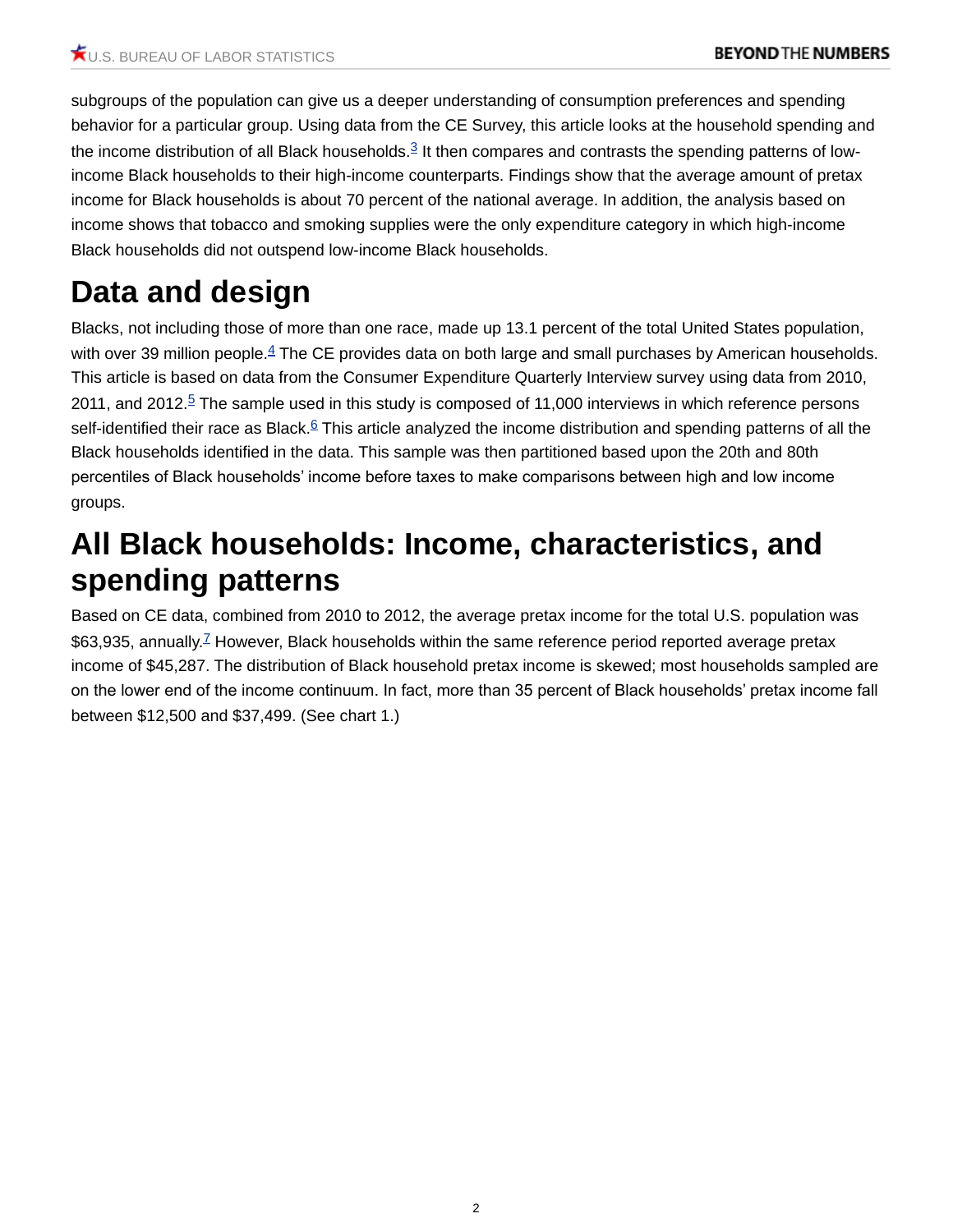<span id="page-1-0"></span>subgroups of the population can give us a deeper understanding of consumption preferences and spending behavior for a particular group. Using data from the CE Survey, this article looks at the household spending and the income distribution of all Black households. $3$  It then compares and contrasts the spending patterns of lowincome Black households to their high-income counterparts. Findings show that the average amount of pretax income for Black households is about 70 percent of the national average. In addition, the analysis based on income shows that tobacco and smoking supplies were the only expenditure category in which high-income Black households did not outspend low-income Black households.

# **Data and design**

<span id="page-1-3"></span><span id="page-1-2"></span><span id="page-1-1"></span>Blacks, not including those of more than one race, made up 13.1 percent of the total United States population, with over 39 million people.<sup>[4](#page-7-3)</sup> The CE provides data on both large and small purchases by American households. This article is based on data from the Consumer Expenditure Quarterly Interview survey using data from 2010, 2011, and 2012.[5](#page-7-4) The sample used in this study is composed of 11,000 interviews in which reference persons self-identified their race as Black.<sup>[6](#page-7-5)</sup> This article analyzed the income distribution and spending patterns of all the Black households identified in the data. This sample was then partitioned based upon the 20th and 80th percentiles of Black households' income before taxes to make comparisons between high and low income groups.

### **All Black households: Income, characteristics, and spending patterns**

<span id="page-1-4"></span>Based on CE data, combined from 2010 to 2012, the average pretax income for the total U.S. population was \$63,935, annually.<sup>[7](#page-7-6)</sup> However, Black households within the same reference period reported average pretax income of \$45,287. The distribution of Black household pretax income is skewed; most households sampled are on the lower end of the income continuum. In fact, more than 35 percent of Black households' pretax income fall between \$12,500 and \$37,499. (See chart 1.)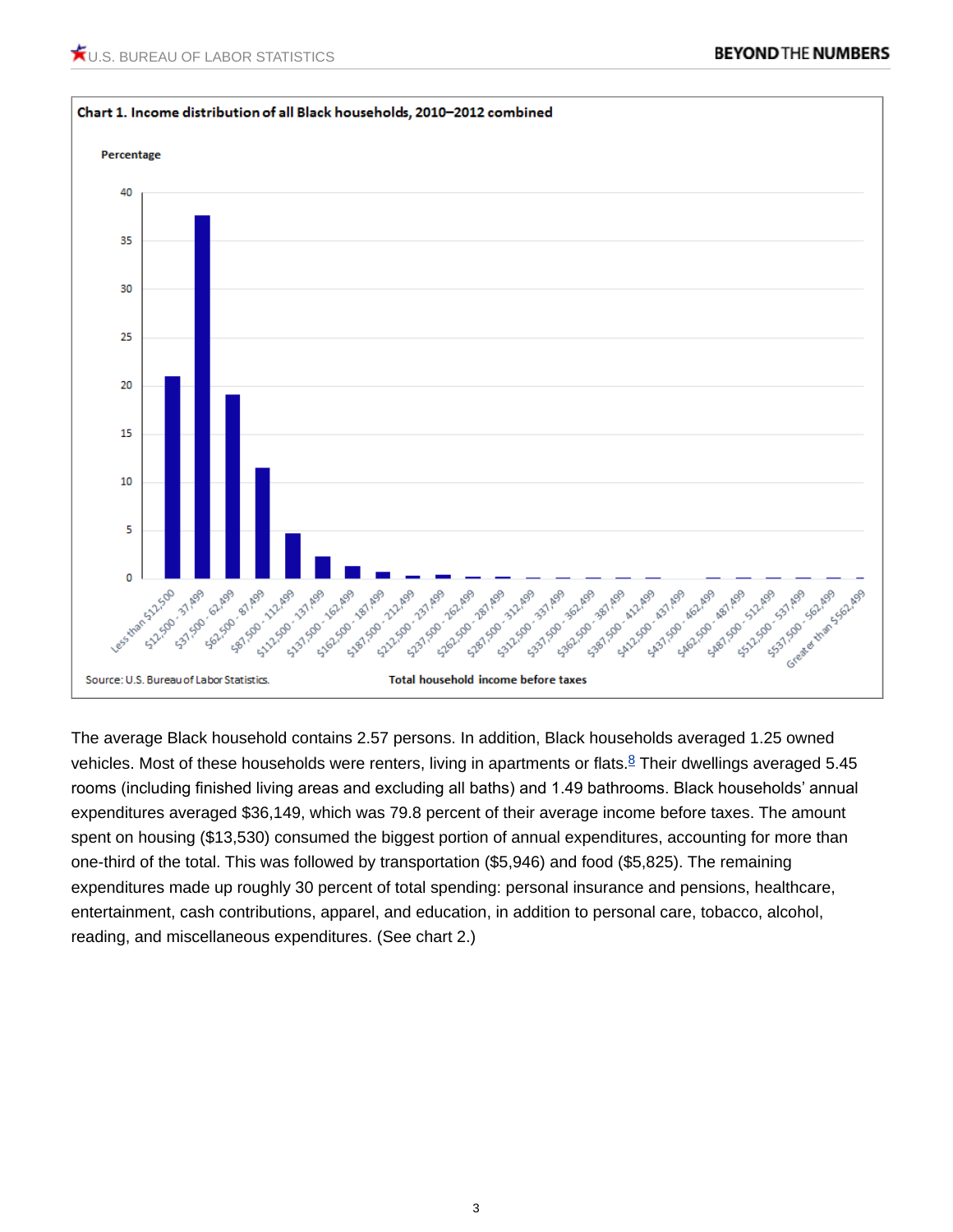

<span id="page-2-0"></span>The average Black household contains 2.57 persons. In addition, Black households averaged 1.25 owned vehicles. Most of these households were renters, living in apartments or flats. $8$  Their dwellings averaged 5.45 rooms (including finished living areas and excluding all baths) and 1.49 bathrooms. Black households' annual expenditures averaged \$36,149, which was 79.8 percent of their average income before taxes. The amount spent on housing (\$13,530) consumed the biggest portion of annual expenditures, accounting for more than one-third of the total. This was followed by transportation (\$5,946) and food (\$5,825). The remaining expenditures made up roughly 30 percent of total spending: personal insurance and pensions, healthcare, entertainment, cash contributions, apparel, and education, in addition to personal care, tobacco, alcohol, reading, and miscellaneous expenditures. (See chart 2.)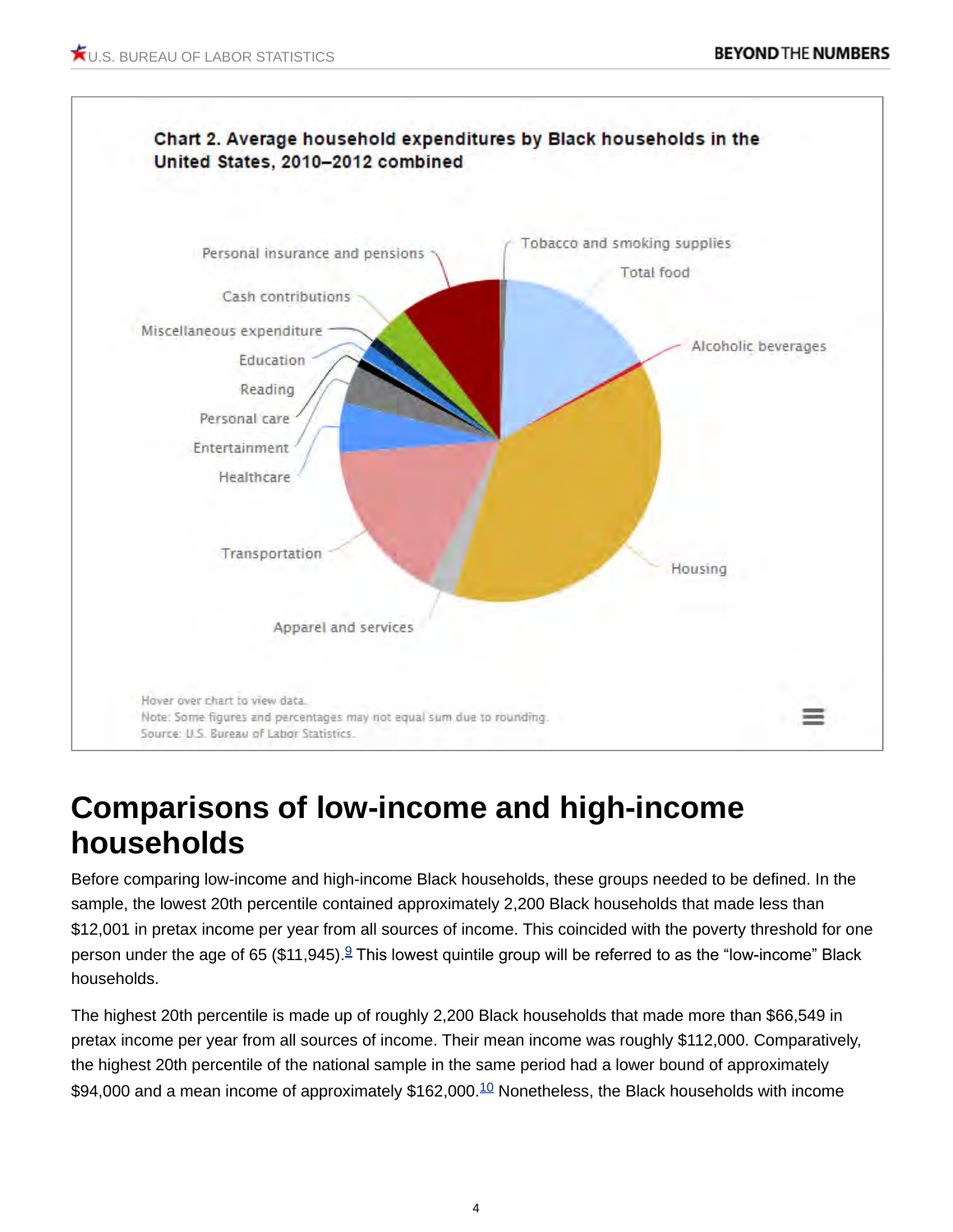

## **Comparisons of low-income and high-income households**

Before comparing low-income and high-income Black households, these groups needed to be defined. In the sample, the lowest 20th percentile contained approximately 2,200 Black households that made less than \$12,001 in pretax income per year from all sources of income. This coincided with the poverty threshold for one person under the age of 65 (\$11,[9](#page-8-1)45).<sup>9</sup> This lowest quintile group will be referred to as the "low-income" Black households.

<span id="page-3-1"></span><span id="page-3-0"></span>The highest 20th percentile is made up of roughly 2,200 Black households that made more than \$66,549 in pretax income per year from all sources of income. Their mean income was roughly \$112,000. Comparatively, the highest 20th percentile of the national sample in the same period had a lower bound of approximately \$94,000 and a mean income of approximately \$162,000.<sup>[10](#page-8-2)</sup> Nonetheless, the Black households with income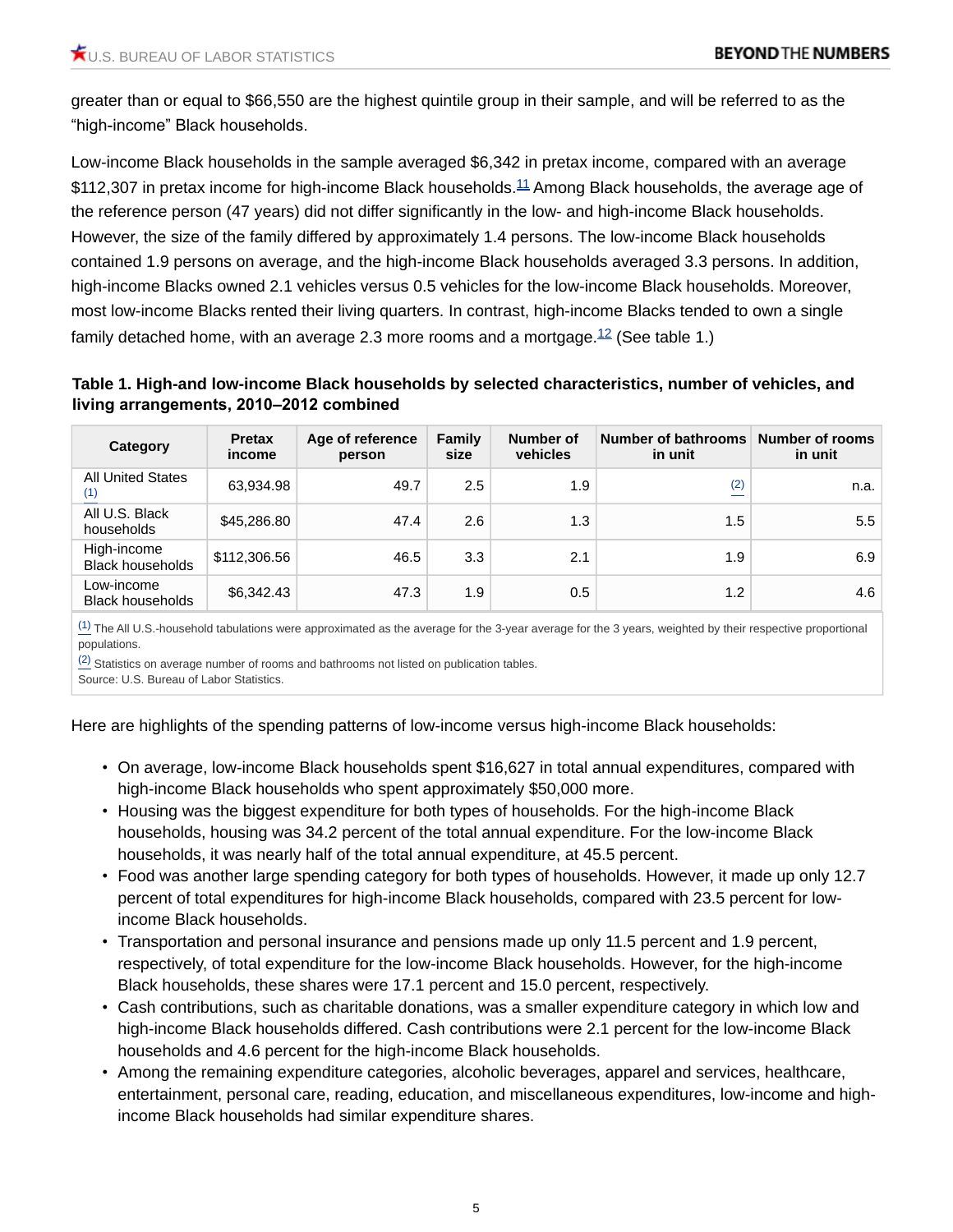greater than or equal to \$66,550 are the highest quintile group in their sample, and will be referred to as the "high-income" Black households.

<span id="page-4-1"></span>Low-income Black households in the sample averaged \$6,342 in pretax income, compared with an average  $$112,307$  $$112,307$  $$112,307$  in pretax income for high-income Black households.<sup>11</sup> Among Black households, the average age of the reference person (47 years) did not differ significantly in the low- and high-income Black households. However, the size of the family differed by approximately 1.4 persons. The low-income Black households contained 1.9 persons on average, and the high-income Black households averaged 3.3 persons. In addition, high-income Blacks owned 2.1 vehicles versus 0.5 vehicles for the low-income Black households. Moreover, most low-income Blacks rented their living quarters. In contrast, high-income Blacks tended to own a single family detached home, with an average 2.3 more rooms and a mortgage.<sup>[12](#page-8-4)</sup> (See table 1.)

#### <span id="page-4-2"></span><span id="page-4-0"></span>**Table 1. High-and low-income Black households by selected characteristics, number of vehicles, and living arrangements, 2010–2012 combined**

| Category                               | <b>Pretax</b><br>income | Age of reference<br>person | <b>Family</b><br>size | Number of<br>vehicles | <b>Number of bathrooms</b><br>in unit | Number of rooms<br>in unit |
|----------------------------------------|-------------------------|----------------------------|-----------------------|-----------------------|---------------------------------------|----------------------------|
| <b>All United States</b>               | 63,934.98               | 49.7                       | 2.5                   | 1.9                   | (2)                                   | n.a.                       |
| All U.S. Black<br>households           | \$45,286.80             | 47.4                       | 2.6                   | 1.3                   | 1.5                                   | 5.5                        |
| High-income<br><b>Black households</b> | \$112,306.56            | 46.5                       | 3.3                   | 2.1                   | 1.9                                   | 6.9                        |
| Low-income<br><b>Black households</b>  | \$6,342.43              | 47.3                       | 1.9                   | 0.5                   | 1.2                                   | 4.6                        |

 $\frac{(1)}{(1)}$  $\frac{(1)}{(1)}$  $\frac{(1)}{(1)}$  The All U.S.-household tabulations were approximated as the average for the 3-year average for the 3 years, weighted by their respective proportional populations.

 $\frac{(2)}{(2)}$  $\frac{(2)}{(2)}$  $\frac{(2)}{(2)}$  Statistics on average number of rooms and bathrooms not listed on publication tables.

Source: U.S. Bureau of Labor Statistics.

Here are highlights of the spending patterns of low-income versus high-income Black households:

- On average, low-income Black households spent \$16,627 in total annual expenditures, compared with high-income Black households who spent approximately \$50,000 more.
- Housing was the biggest expenditure for both types of households. For the high-income Black households, housing was 34.2 percent of the total annual expenditure. For the low-income Black households, it was nearly half of the total annual expenditure, at 45.5 percent.
- Food was another large spending category for both types of households. However, it made up only 12.7 percent of total expenditures for high-income Black households, compared with 23.5 percent for lowincome Black households.
- Transportation and personal insurance and pensions made up only 11.5 percent and 1.9 percent, respectively, of total expenditure for the low-income Black households. However, for the high-income Black households, these shares were 17.1 percent and 15.0 percent, respectively.
- Cash contributions, such as charitable donations, was a smaller expenditure category in which low and high-income Black households differed. Cash contributions were 2.1 percent for the low-income Black households and 4.6 percent for the high-income Black households.
- Among the remaining expenditure categories, alcoholic beverages, apparel and services, healthcare, entertainment, personal care, reading, education, and miscellaneous expenditures, low-income and highincome Black households had similar expenditure shares.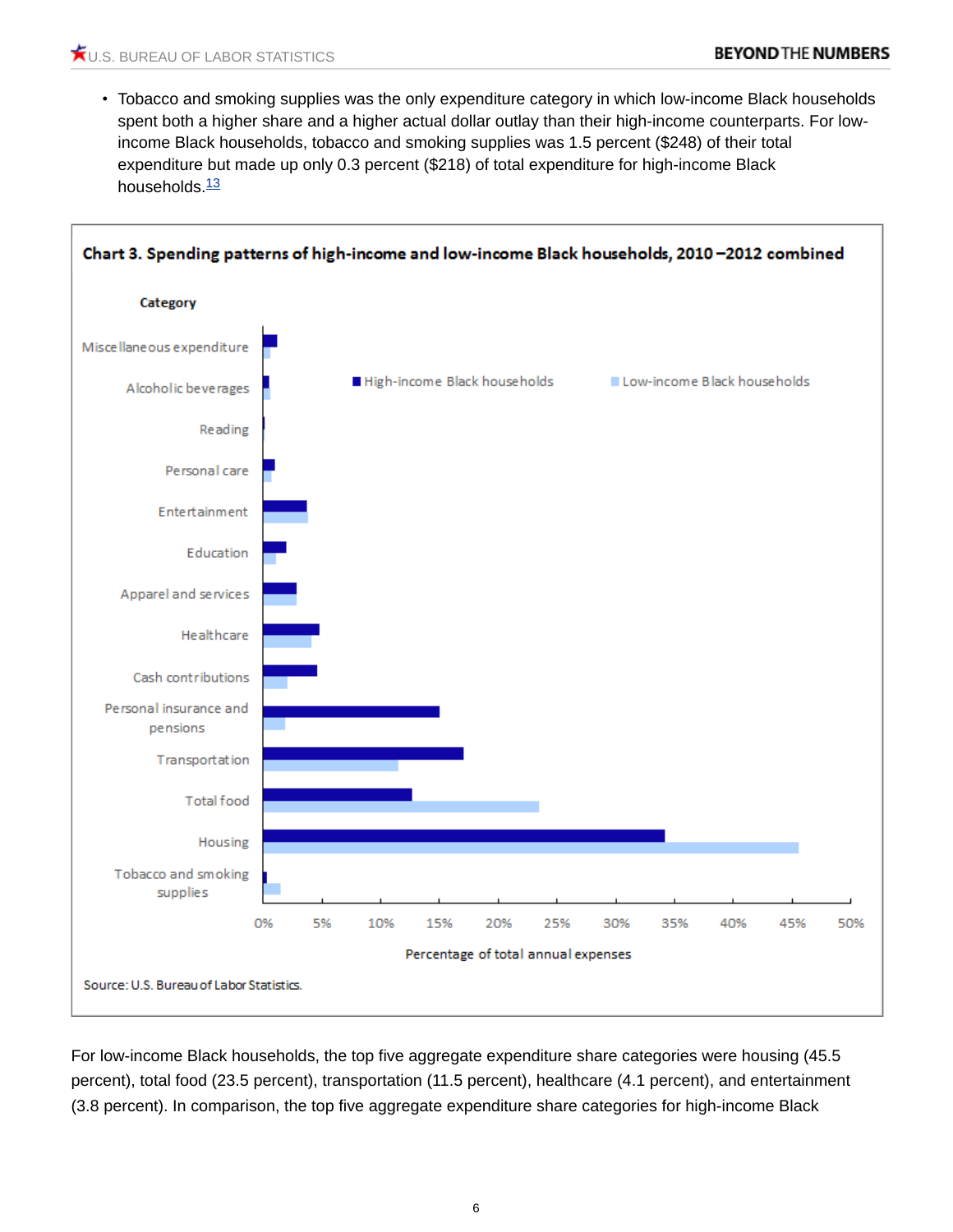<span id="page-5-0"></span>• Tobacco and smoking supplies was the only expenditure category in which low-income Black households spent both a higher share and a higher actual dollar outlay than their high-income counterparts. For lowincome Black households, tobacco and smoking supplies was 1.5 percent (\$248) of their total expenditure but made up only 0.3 percent (\$218) of total expenditure for high-income Black households. $\frac{13}{2}$  $\frac{13}{2}$  $\frac{13}{2}$ 



For low-income Black households, the top five aggregate expenditure share categories were housing (45.5 percent), total food (23.5 percent), transportation (11.5 percent), healthcare (4.1 percent), and entertainment (3.8 percent). In comparison, the top five aggregate expenditure share categories for high-income Black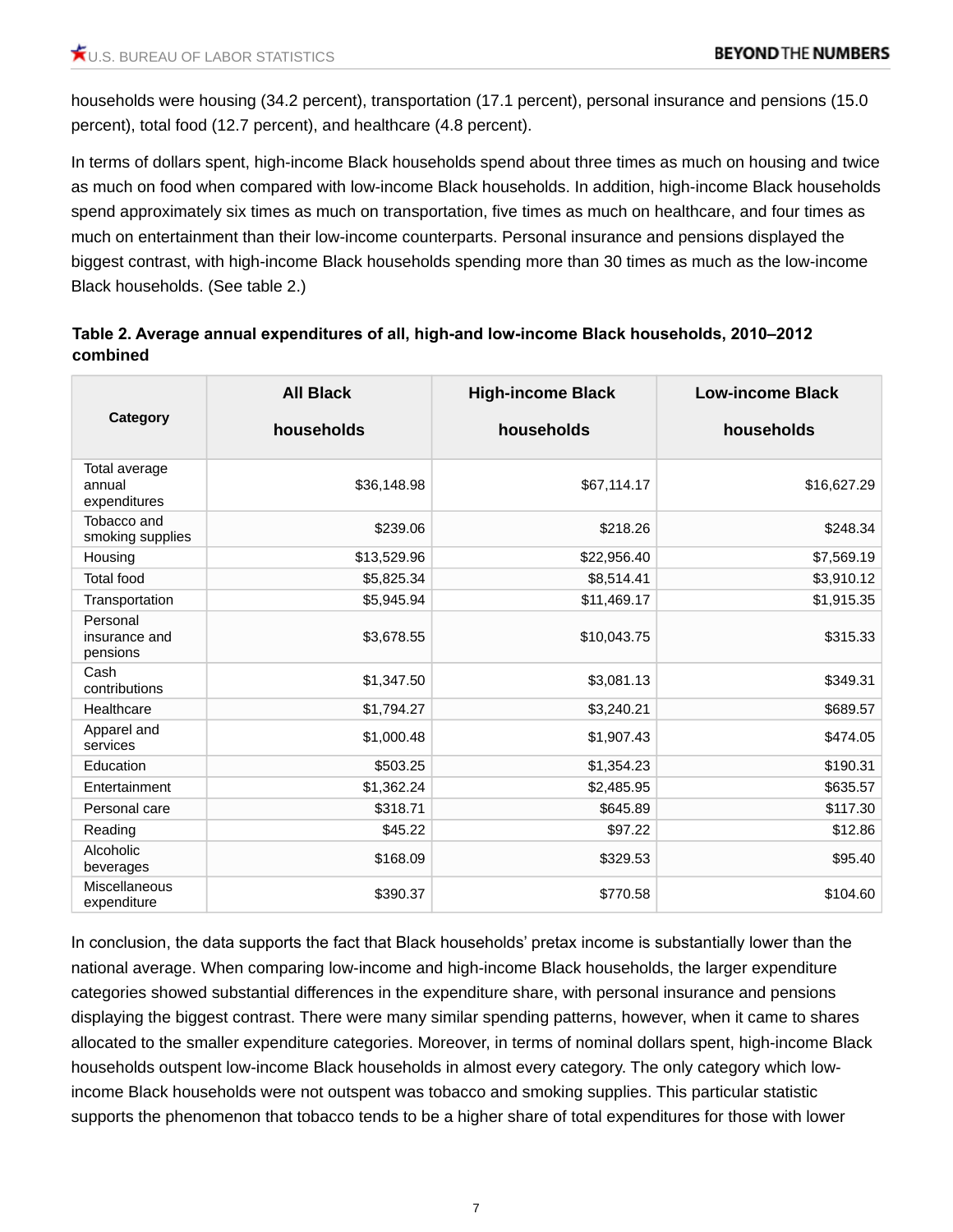households were housing (34.2 percent), transportation (17.1 percent), personal insurance and pensions (15.0 percent), total food (12.7 percent), and healthcare (4.8 percent).

In terms of dollars spent, high-income Black households spend about three times as much on housing and twice as much on food when compared with low-income Black households. In addition, high-income Black households spend approximately six times as much on transportation, five times as much on healthcare, and four times as much on entertainment than their low-income counterparts. Personal insurance and pensions displayed the biggest contrast, with high-income Black households spending more than 30 times as much as the low-income Black households. (See table 2.)

#### **Table 2. Average annual expenditures of all, high-and low-income Black households, 2010–2012 combined**

|                                         | <b>All Black</b> | <b>High-income Black</b> | <b>Low-income Black</b><br>households |  |
|-----------------------------------------|------------------|--------------------------|---------------------------------------|--|
| Category                                | households       | households               |                                       |  |
| Total average<br>annual<br>expenditures | \$36,148.98      | \$67,114.17              | \$16,627.29                           |  |
| Tobacco and<br>smoking supplies         | \$239.06         | \$218.26                 | \$248.34                              |  |
| Housing                                 | \$13,529.96      | \$22,956.40              | \$7,569.19                            |  |
| <b>Total food</b>                       | \$5,825.34       | \$8,514.41               | \$3,910.12                            |  |
| Transportation                          | \$5,945.94       | \$11,469.17              | \$1,915.35                            |  |
| Personal<br>insurance and<br>pensions   | \$3,678.55       | \$10,043.75              | \$315.33                              |  |
| Cash<br>contributions                   | \$1,347.50       | \$3,081.13               | \$349.31                              |  |
| Healthcare                              | \$1,794.27       | \$3,240.21               | \$689.57                              |  |
| Apparel and<br>services                 | \$1,000.48       | \$1,907.43               | \$474.05                              |  |
| Education                               | \$503.25         | \$1,354.23               | \$190.31                              |  |
| Entertainment                           | \$1,362.24       | \$2,485.95               | \$635.57                              |  |
| Personal care                           | \$318.71         | \$645.89                 | \$117.30                              |  |
| Reading                                 | \$45.22          | \$97.22                  | \$12.86                               |  |
| Alcoholic<br>beverages                  | \$168.09         | \$329.53                 | \$95.40                               |  |
| <b>Miscellaneous</b><br>expenditure     | \$390.37         | \$770.58                 | \$104.60                              |  |

In conclusion, the data supports the fact that Black households' pretax income is substantially lower than the national average. When comparing low-income and high-income Black households, the larger expenditure categories showed substantial differences in the expenditure share, with personal insurance and pensions displaying the biggest contrast. There were many similar spending patterns, however, when it came to shares allocated to the smaller expenditure categories. Moreover, in terms of nominal dollars spent, high-income Black households outspent low-income Black households in almost every category. The only category which lowincome Black households were not outspent was tobacco and smoking supplies. This particular statistic supports the phenomenon that tobacco tends to be a higher share of total expenditures for those with lower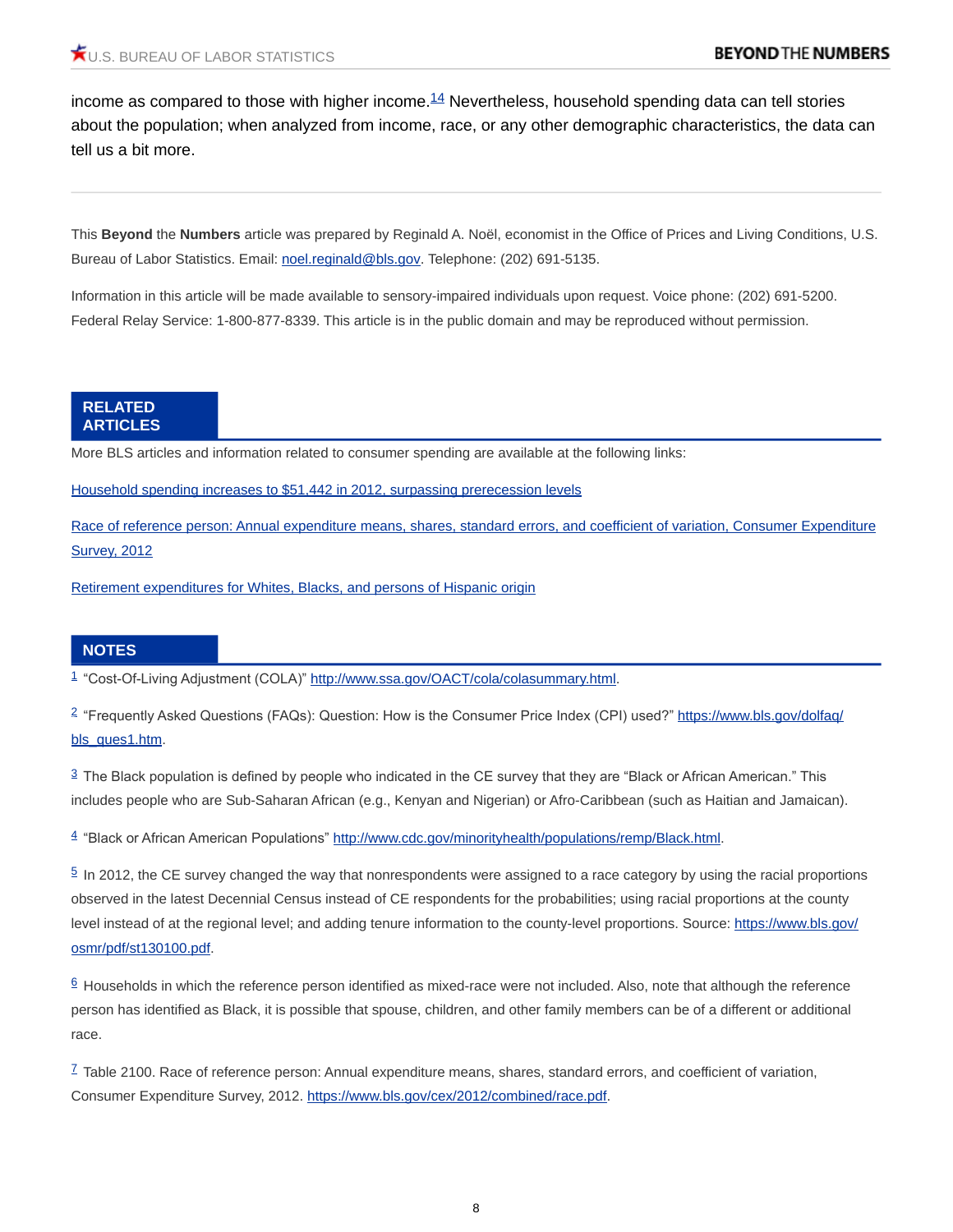<span id="page-7-7"></span>income as compared to those with higher income. $14$  Nevertheless, household spending data can tell stories about the population; when analyzed from income, race, or any other demographic characteristics, the data can tell us a bit more.

This **Beyond** the **Numbers** article was prepared by Reginald A. Noël, economist in the Office of Prices and Living Conditions, U.S. Bureau of Labor Statistics. Email: [noel.reginald@bls.gov](mailto:noel.reginald@bls.gov). Telephone: (202) 691-5135.

Information in this article will be made available to sensory-impaired individuals upon request. Voice phone: (202) 691-5200. Federal Relay Service: 1-800-877-8339. This article is in the public domain and may be reproduced without permission.

#### **RELATED ARTICLES**

More BLS articles and information related to consumer spending are available at the following links:

[Household spending increases to \\$51,442 in 2012, surpassing prerecession levels](https://www.bls.gov/opub/ted/2013/ted_20130912.htm)

[Race of reference person: Annual expenditure means, shares, standard errors, and coefficient of variation, Consumer Expenditure](https://www.bls.gov/cex/2012/combined/race.pdf)  **[Survey, 2012](https://www.bls.gov/cex/2012/combined/race.pdf)** 

[Retirement expenditures for Whites, Blacks, and persons of Hispanic origin](https://www.bls.gov/opub/mlr/2003/06/art3full.pdf)

#### **NOTES**

<span id="page-7-0"></span>[1](#page-0-0) "Cost-Of-Living Adjustment (COLA)" [http://www.ssa.gov/OACT/cola/colasummary.html.](http://www.ssa.gov/OACT/cola/colasummary.html)

<span id="page-7-1"></span> $2$  "Frequently Asked Questions (FAQs): Question: How is the Consumer Price Index (CPI) used?" [https://www.bls.gov/dolfaq/](https://www.bls.gov/dolfaq/bls_ques1.htm) [bls\\_ques1.htm](https://www.bls.gov/dolfaq/bls_ques1.htm).

<span id="page-7-2"></span> $3$  The Black population is defined by people who indicated in the CE survey that they are "Black or African American." This includes people who are Sub-Saharan African (e.g., Kenyan and Nigerian) or Afro-Caribbean (such as Haitian and Jamaican).

<span id="page-7-3"></span><sup>[4](#page-1-1)</sup> "Black or African American Populations" [http://www.cdc.gov/minorityhealth/populations/remp/Black.html](http://www.cdc.gov/minorityhealth/populations/remp/black.html).

<span id="page-7-4"></span> $5$  In 2012, the CE survey changed the way that nonrespondents were assigned to a race category by using the racial proportions observed in the latest Decennial Census instead of CE respondents for the probabilities; using racial proportions at the county level instead of at the regional level; and adding tenure information to the county-level proportions. Source: [https://www.bls.gov/](https://www.bls.gov/osmr/pdf/st130100.pdf) [osmr/pdf/st130100.pdf](https://www.bls.gov/osmr/pdf/st130100.pdf).

<span id="page-7-5"></span> $6$  Households in which the reference person identified as mixed-race were not included. Also, note that although the reference person has identified as Black, it is possible that spouse, children, and other family members can be of a different or additional race.

<span id="page-7-6"></span> $I$  Table 2100. Race of reference person: Annual expenditure means, shares, standard errors, and coefficient of variation, Consumer Expenditure Survey, 2012. <https://www.bls.gov/cex/2012/combined/race.pdf>.